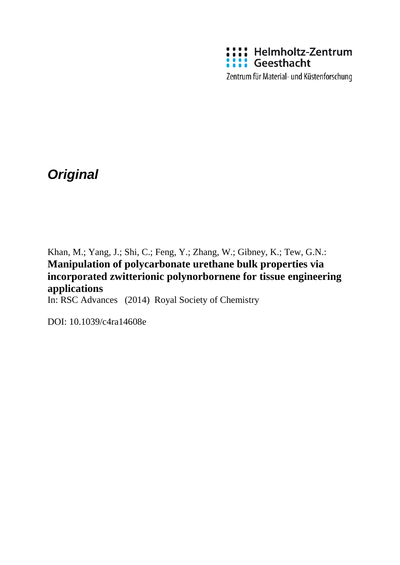

*Original*

Khan, M.; Yang, J.; Shi, C.; Feng, Y.; Zhang, W.; Gibney, K.; Tew, G.N.: **Manipulation of polycarbonate urethane bulk properties via incorporated zwitterionic polynorbornene for tissue engineering applications**

In: RSC Advances (2014) Royal Society of Chemistry

DOI: 10.1039/c4ra14608e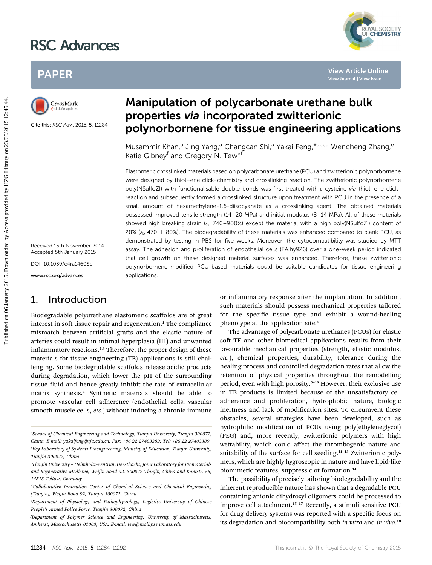# RSC Advances



## PAPER



Cite this: RSC Adv., 2015, 5, 11284

## Manipulation of polycarbonate urethane bulk properties via incorporated zwitterionic polynorbornene for tissue engineering applications

Musammir Khan,<sup>a</sup> Jing Yang,<sup>a</sup> Changcan Shi,<sup>a</sup> Yakai Feng,\*<sup>abcd</sup> Wencheng Zhang,<sup>e</sup> Katie Gibney<sup>f</sup> and Gregory N. Tew<sup>\*f</sup>

Elastomeric crosslinked materials based on polycarbonate urethane (PCU) and zwitterionic polynorbornene were designed by thiol–ene click-chemistry and crosslinking reaction. The zwitterionic polynorbornene poly(NSulfoZI) with functionalisable double bonds was first treated with L-cysteine via thiol–ene clickreaction and subsequently formed a crosslinked structure upon treatment with PCU in the presence of a small amount of hexamethylene-1,6-diisocyanate as a crosslinking agent. The obtained materials possessed improved tensile strength (14–20 MPa) and initial modulus (8–14 MPa). All of these materials showed high breaking strain ( $\varepsilon_b$  740–900%) except the material with a high poly(NSulfoZI) content of 28% ( $\varepsilon_{\rm b}$  470  $\pm$  80%). The biodegradability of these materials was enhanced compared to blank PCU, as demonstrated by testing in PBS for five weeks. Moreover, the cytocompatibility was studied by MTT assay. The adhesion and proliferation of endothelial cells (EA.hy926) over a one-week period indicated that cell growth on these designed material surfaces was enhanced. Therefore, these zwitterionic polynorbornene-modified PCU-based materials could be suitable candidates for tissue engineering applications. PAPER<br> **Published on 06 January 2015**<br>
Considered Access Proposition 1 **Considered By Access Proposition 2015**<br>
Consider the SCAN. 2015.5.11234<br>
By Access provided the Consider Access proposition 2016<br>
Sammeric considered

Received 15th November 2014 Accepted 5th January 2015

DOI: 10.1039/c4ra14608e

www.rsc.org/advances

### 1. Introduction

Biodegradable polyurethane elastomeric scaffolds are of great interest in soft tissue repair and regeneration.<sup>1</sup> The compliance mismatch between artificial grafts and the elastic nature of arteries could result in intimal hyperplasia (IH) and unwanted inflammatory reactions.<sup>2,3</sup> Therefore, the proper design of these materials for tissue engineering (TE) applications is still challenging. Some biodegradable scaffolds release acidic products during degradation, which lower the pH of the surrounding tissue fluid and hence greatly inhibit the rate of extracellular matrix synthesis.<sup>4</sup> Synthetic materials should be able to promote vascular cell adherence (endothelial cells, vascular smooth muscle cells, *etc.*) without inducing a chronic immune

or inflammatory response after the implantation. In addition, such materials should possess mechanical properties tailored for the specific tissue type and exhibit a wound-healing phenotype at the application site.<sup>5</sup>

The advantage of polycarbonate urethanes (PCUs) for elastic soft TE and other biomedical applications results from their favourable mechanical properties (strength, elastic modulus, etc.), chemical properties, durability, tolerance during the healing process and controlled degradation rates that allow the retention of physical properties throughout the remodelling period, even with high porosity.<sup>6-10</sup> However, their exclusive use in TE products is limited because of the unsatisfactory cell adherence and proliferation, hydrophobic nature, biologic inertness and lack of modification sites. To circumvent these obstacles, several strategies have been developed, such as hydrophilic modification of PCUs using poly(ethyleneglycol) (PEG) and, more recently, zwitterionic polymers with high wettability, which could affect the thrombogenic nature and suitability of the surface for cell seeding.<sup>11-13</sup> Zwitterionic polymers, which are highly hygroscopic in nature and have lipid-like biomimetic features, suppress clot formation.<sup>14</sup>

The possibility of precisely tailoring biodegradability and the inherent reproducible nature has shown that a degradable PCU containing anionic dihydroxyl oligomers could be processed to improve cell attachment.<sup>15-17</sup> Recently, a stimuli-sensitive PCU for drug delivery systems was reported with a specific focus on its degradation and biocompatibility both in vitro and in vivo.<sup>18</sup>

a School of Chemical Engineering and Technology, Tianjin University, Tianjin 300072, China. E-mail: yakaifeng@tju.edu.cn; Fax: +86-22-27403389; Tel: +86-22-27403389  $\mathstrut^b$ Key Laboratory of Systems Bioengineering, Ministry of Education, Tianjin University, Tianjin 300072, China

c Tianjin University – Helmholtz-Zentrum Geesthacht, Joint Laboratory for Biomaterials and Regenerative Medicine, Weijin Road 92, 300072 Tianjin, China and Kantstr. 55, 14513 Teltow, Germany

<sup>&</sup>lt;sup>a</sup>Collaborative Innovation Center of Chemical Science and Chemical Engineering (Tianjin), Weijin Road 92, Tianjin 300072, China

e Department of Physiology and Pathophysiology, Logistics University of Chinese People's Armed Police Force, Tianjin 300072, China

f Department of Polymer Science and Engineering, University of Massachusetts, Amherst, Massachusetts 01003, USA. E-mail: tew@mail.pse.umass.edu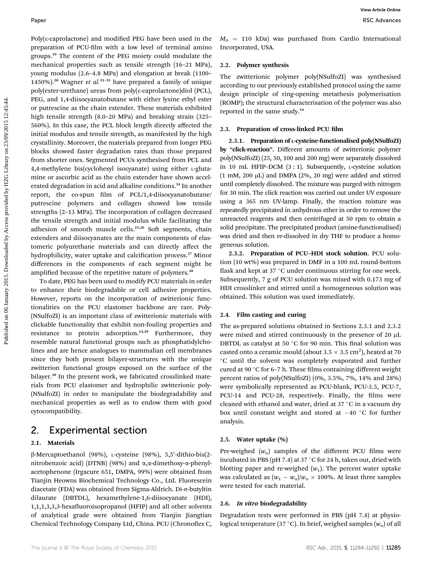$Poly(\varepsilon$ -caprolactone) and modified PEG have been used in the preparation of PCU-film with a low level of terminal amino groups.<sup>19</sup> The content of the PEG moiety could modulate the mechanical properties such as tensile strength (16–21 MPa), young modulus (2.6–4.8 MPa) and elongation at break (1100– 1450%).<sup>20</sup> Wagner et al.<sup>21-23</sup> have prepared a family of unique poly(ester-urethane) ureas from poly(3-caprolactone)diol (PCL), PEG, and 1,4-diisocyanatobutane with either lysine ethyl ester or putrescine as the chain extender. These materials exhibited high tensile strength (8.0–20 MPa) and breaking strain (325– 560%). In this case, the PCL block length directly affected the initial modulus and tensile strength, as manifested by the high crystallinity. Moreover, the materials prepared from longer PEG blocks showed faster degradation rates than those prepared from shorter ones. Segmented PCUs synthesised from PCL and 4,4-methylene bis(cyclohexyl isocyanate) using either L-glutamine or ascorbic acid as the chain extender have shown accelerated degradation in acid and alkaline conditions.<sup>24</sup> In another report, the co-spun film of  $PCL/1,4$ -diisocyanatobutane/ putrescine polymers and collagen showed low tensile strengths (2–13 MPa). The incorporation of collagen decreased the tensile strength and initial modulus while facilitating the adhesion of smooth muscle cells.<sup>25,26</sup> Soft segments, chain extenders and diisocyanates are the main components of elastomeric polyurethane materials and can directly affect the hydrophilicity, water uptake and calcification process.<sup>27</sup> Minor differences in the components of each segment might be amplified because of the repetitive nature of polymers.<sup>28</sup> **Puer West Constrained on the method on 100** Max becomes in the  $M_a = 110$  bin) was purchased from Cardio interactions<br> **Properties** the constrained by Access provided method interactions positive and the method interactio

To date, PEG has been used to modify PCU materials in order to enhance their biodegradable or cell adhesive properties. However, reports on the incorporation of zwitterionic functionalities on the PCU elastomer backbone are rare. Poly- (NSulfoZI) is an important class of zwitterionic materials with clickable functionality that exhibit non-fouling properties and resistance to protein adsorption.<sup>14,29</sup> Furthermore, they resemble natural functional groups such as phosphatidylcholines and are hence analogues to mammalian cell membranes since they both present bilayer-structures with the unique zwitterion functional groups exposed on the surface of the bilayer.<sup>30</sup> In the present work, we fabricated crosslinked materials from PCU elastomer and hydrophilic zwitterionic poly- (NSulfoZI) in order to manipulate the biodegradability and mechanical properties as well as to endow them with good cytocompatibility.

### 2. Experimental section

### 2.1. Materials

β-Mercaptoethanol (98%), ι-cysteine (98%), 5,5′-dithio-bis(2nitrobenzoic acid) (DTNB) (98%) and  $\alpha$ , $\alpha$ -dimethoxy- $\alpha$ -phenylacetophenone (Irgacure 651, DMPA, 99%) were obtained from Tianjin Heowns Biochemical Technology Co., Ltd. Fluorescein diacetate (FDA) was obtained from Sigma-Aldrich. Di-n-butyltin dilaurate (DBTDL), hexamethylene-1,6-diisocyanate (HDI), 1,1,1,3,3,3-hexafluoroisopropanol (HFIP) and all other solvents of analytical grade were obtained from Tianjin Jiangtian Chemical Technology Company Ltd, China. PCU (Chronoflex C,

 $M_n$  = 110 kDa) was purchased from Cardio International Incorporated, USA.

### 2.2. Polymer synthesis

The zwitterionic polymer poly(NSulfoZI) was synthesised according to our previously established protocol using the same design principle of ring-opening metathesis polymerisation (ROMP); the structural characterisation of the polymer was also reported in the same study.<sup>14</sup>

### 2.3. Preparation of cross-linked PCU film

2.3.1. Preparation of L-cysteine-functionalised poly(NSulfoZI) by "click-reaction". Different amounts of zwitterionic polymer poly(NSulfoZI) (25, 50, 100 and 200 mg) were separately dissolved in 10 mL HFIP-DCM  $(3:1)$ . Subsequently, *L*-cysteine solution  $(1 \text{ mM}, 200 \mu\text{L})$  and DMPA  $(2\%, 20 \text{ mg})$  were added and stirred until completely dissolved. The mixture was purged with nitrogen for 30 min. The click reaction was carried out under UV exposure using a 365 nm UV-lamp. Finally, the reaction mixture was repeatedly precipitated in anhydrous ether in order to remove the unreacted reagents and then centrifuged at 50 rpm to obtain a solid precipitate. The precipitated product (amine-functionalised) was dried and then re-dissolved in dry THF to produce a homogeneous solution.

2.3.2. Preparation of PCU–HDI stock solution. PCU solution (10 wt%) was prepared in DMF in a 100 mL round-bottom flask and kept at 37  $\degree$ C under continuous stirring for one week. Subsequently, 7 g of PCU solution was mixed with 0.173 mg of HDI crosslinker and stirred until a homogeneous solution was obtained. This solution was used immediately.

### 2.4. Film casting and curing

The as-prepared solutions obtained in Sections 2.3.1 and 2.3.2 were mixed and stirred continuously in the presence of 20  $\mu$ L DBTDL as catalyst at 50  $^{\circ}$ C for 90 min. This final solution was casted onto a ceramic mould (about  $3.5 \times 3.5$  cm<sup>2</sup>), heated at 70 C until the solvent was completely evaporated and further cured at 90 $\degree$ C for 6–7 h. These films containing different weight percent ratios of poly(NSulfoZI) (0%, 3.5%, 7%, 14% and 28%) were symbolically represented as PCU-blank, PCU-3.5, PCU-7, PCU-14 and PCU-28, respectively. Finally, the films were cleaned with ethanol and water, dried at  $37 °C$  in a vacuum dry box until constant weight and stored at  $-40$  °C for further analysis.

### 2.5. Water uptake (%)

Pre-weighed  $(w_0)$  samples of the different PCU films were incubated in PBS (pH 7.4) at 37 °C for 24 h, taken out, dried with blotting paper and re-weighed  $(w_1)$ . The percent water uptake was calculated as  $(w_1 - w_0)/w_0 \times 100\%$ . At least three samples were tested for each material.

### 2.6. In vitro biodegradability

Degradation tests were performed in PBS (pH 7.4) at physiological temperature (37 °C). In brief, weighed samples  $(w_0)$  of all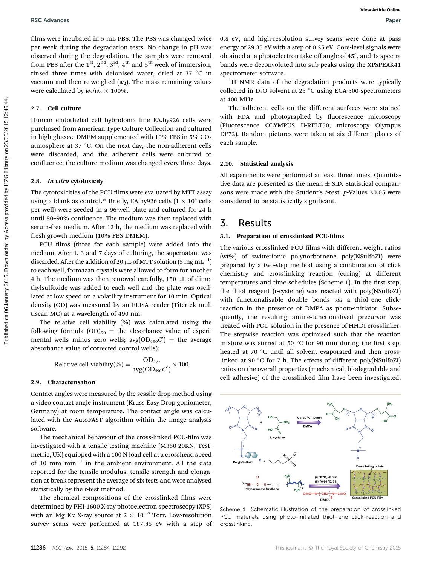films were incubated in 5 mL PBS. The PBS was changed twice per week during the degradation tests. No change in pH was observed during the degradation. The samples were removed from PBS after the 1<sup>st</sup>, 2<sup>nd</sup>, 3<sup>rd</sup>, 4<sup>th</sup> and 5<sup>th</sup> week of immersion, rinsed three times with deionised water, dried at  $37 °C$  in vacuum and then re-weighed  $(w_2)$ . The mass remaining values were calculated by  $w_2/w_0 \times 100\%$ .

#### 2.7. Cell culture

Human endothelial cell hybridoma line EA.hy926 cells were purchased from American Type Culture Collection and cultured in high glucose DMEM supplemented with 10% FBS in 5%  $CO<sub>2</sub>$ atmosphere at  $37 \text{ °C}$ . On the next day, the non-adherent cells were discarded, and the adherent cells were cultured to confluence; the culture medium was changed every three days.

### 2.8. In vitro cytotoxicity

The cytotoxicities of the PCU films were evaluated by MTT assay using a blank as control.<sup>46</sup> Briefly, EA.hy926 cells  $(1 \times 10^4$  cells per well) were seeded in a 96-well plate and cultured for 24 h until 80-90% confluence. The medium was then replaced with serum-free medium. After 12 h, the medium was replaced with fresh growth medium (10% FBS DMEM).

PCU films (three for each sample) were added into the medium. After 1, 3 and 7 days of culturing, the supernatant was discarded. After the addition of 20  $\rm \mu L$  of MTT solution (5  $\rm mg\,mL^{-1})$ to each well, formazan crystals were allowed to form for another 4 h. The medium was then removed carefully,  $150 \mu L$  of dimethylsulfoxide was added to each well and the plate was oscillated at low speed on a volatility instrument for 10 min. Optical density (OD) was measured by an ELISA reader (Titertek multiscan MC) at a wavelength of 490 nm.

The relative cell viability (%) was calculated using the following formula  $\text{(OD}_{490}^\prime = \text{ the absorbance value of experi-}$ mental wells minus zero wells;  $\text{avg}(\text{OD}_{490} C') = \text{the average}$ absorbance value of corrected control wells):

Relative cell viability(
$$
\%
$$
) =  $\frac{OD_{490}}{\text{avg}(OD_{490}C')}$  × 100

#### 2.9. Characterisation

Contact angles were measured by the sessile drop method using a video contact angle instrument (Kruss Easy Drop goniometer, Germany) at room temperature. The contact angle was calculated with the AutoFAST algorithm within the image analysis software.

The mechanical behaviour of the cross-linked PCU-film was investigated with a tensile testing machine (M350-20KN, Testmetric, UK) equipped with a 100 N load cell at a crosshead speed of 10 mm  $min^{-1}$  in the ambient environment. All the data reported for the tensile modulus, tensile strength and elongation at break represent the average of six tests and were analysed statistically by the *t*-test method.

The chemical compositions of the crosslinked films were determined by PHI-1600 X-ray photoelectron spectroscopy (XPS) with an Mg K $\alpha$  X-ray source at 2  $\times$  10<sup>-8</sup> Torr. Low-resolution survey scans were performed at 187.85 eV with a step of 0.8 eV, and high-resolution survey scans were done at pass energy of 29.35 eV with a step of 0.25 eV. Core-level signals were obtained at a photoelectron take-off angle of  $45^\circ$ , and 1s spectra bands were deconvoluted into sub-peaks using the XPSPEAK41 spectrometer software.

<sup>1</sup>H NMR data of the degradation products were typically collected in  $D_2O$  solvent at 25 °C using ECA-500 spectrometers at 400 MHz.

The adherent cells on the different surfaces were stained with FDA and photographed by fluorescence microscopy (Fluorescence OLYMPUS U-RFLT50; microscopy Olympus DP72). Random pictures were taken at six different places of each sample.

#### 2.10. Statistical analysis

All experiments were performed at least three times. Quantitative data are presented as the mean  $\pm$  S.D. Statistical comparisons were made with the Student's *t*-test. *p*-Values <0.05 were considered to be statistically significant.

### 3. Results

### 3.1. Preparation of crosslinked PCU-films

The various crosslinked PCU films with different weight ratios (wt%) of zwitterionic polynorbornene poly(NSulfoZI) were prepared by a two-step method using a combination of click chemistry and crosslinking reaction (curing) at different temperatures and time schedules (Scheme 1). In the first step, the thiol reagent (L-cysteine) was reacted with poly(NSulfoZI) with functionalisable double bonds via a thiol–ene clickreaction in the presence of DMPA as photo-initiator. Subsequently, the resulting amine-functionalised precursor was treated with PCU solution in the presence of HHDI crosslinker. The stepwise reaction was optimised such that the reaction mixture was stirred at 50  $^{\circ}$ C for 90 min during the first step, heated at 70 °C until all solvent evaporated and then crosslinked at 90 °C for 7 h. The effects of different poly(NSulfoZI) ratios on the overall properties (mechanical, biodegradable and cell adhesive) of the crosslinked film have been investigated, **BSC** Advances<br>
Here, were involved to find the Nie and Nie and Nie and Nie and Nie and Nie and Nie and Nie and Nie and Nie and Nie and Nie and Nie and Nie and Nie and Nie and Nie and Nie and Nie and Nie and Nie and Nie a



Scheme 1 Schematic illustration of the preparation of crosslinked PCU materials using photo-initiated thiol–ene click-reaction and crosslinking.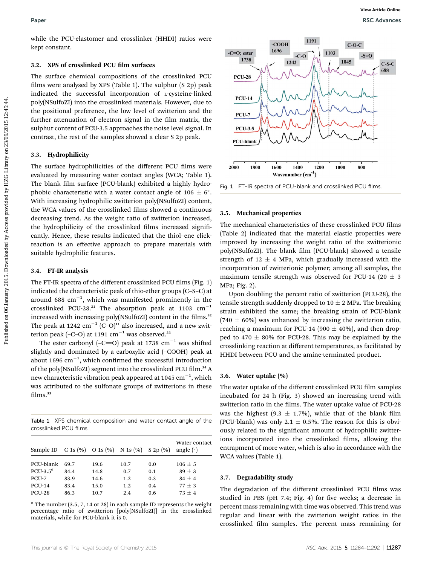### 3.2. XPS of crosslinked PCU film surfaces

The surface chemical compositions of the crosslinked PCU films were analysed by XPS (Table 1). The sulphur  $(S 2p)$  peak indicated the successful incorporation of L-cysteine-linked poly(NSulfoZI) into the crosslinked materials. However, due to the positional preference, the low level of zwitterion and the further attenuation of electron signal in the film matrix, the sulphur content of PCU-3.5 approaches the noise level signal. In contrast, the rest of the samples showed a clear S 2p peak.

### 3.3. Hydrophilicity

The surface hydrophilicities of the different PCU films were evaluated by measuring water contact angles (WCA; Table 1). The blank film surface (PCU-blank) exhibited a highly hydrophobic characteristic with a water contact angle of  $106 \pm 6^{\circ}$ . With increasing hydrophilic zwitterion poly(NSulfoZI) content, the WCA values of the crosslinked films showed a continuous decreasing trend. As the weight ratio of zwitterion increased, the hydrophilicity of the crosslinked films increased significantly. Hence, these results indicated that the thiol–ene clickreaction is an effective approach to prepare materials with suitable hydrophilic features.

### 3.4. FT-IR analysis

The FT-IR spectra of the different crosslinked PCU films (Fig. 1) indicated the characteristic peak of thio-ether groups (C–S–C) at around 688  $\mathrm{cm}^{-1}$ , which was manifested prominently in the crosslinked PCU-28.<sup>31</sup> The absorption peak at 1103  $cm^{-1}$ increased with increasing poly(NSulfoZI) content in the films.<sup>32</sup> The peak at 1242  $cm^{-1}$  (C–O)<sup>11</sup> also increased, and a new zwitterion peak (-C-O) at 1191  $\text{cm}^{-1}$  was observed.<sup>33</sup>

The ester carbonyl (-C=O) peak at 1738 cm<sup>-1</sup> was shifted slightly and dominated by a carboxylic acid (–COOH) peak at about 1696  $\mathrm{cm}^{-1},$  which confirmed the successful introduction of the poly(NSulfoZI) segment into the crosslinked PCU film.<sup>34</sup> A new characteristic vibration peak appeared at 1045  $\mathrm{cm}^{-1}$ , which was attributed to the sulfonate groups of zwitterions in these films.<sup>33</sup>

Table 1 XPS chemical composition and water contact angle of the crosslinked PCU films

| Sample ID $C 1s (\%)$ O 1s $(\%)$ N 1s $(\%)$ S 2p $(\%)$ |      |      |      |     | Water contact<br>angle $(°)$ |
|-----------------------------------------------------------|------|------|------|-----|------------------------------|
|                                                           |      |      |      |     |                              |
| PCU-blank                                                 | 69.7 | 19.6 | 10.7 | 0.0 | $106 + 5$                    |
| $PCU-3.5^a$                                               | 84.4 | 14.8 | 0.7  | 0.1 | $89 + 3$                     |
| PCU-7                                                     | 83.9 | 14.6 | 1.2  | 0.3 | $84 + 4$                     |
| <b>PCU-14</b>                                             | 83.4 | 15.0 | 1.2  | 0.4 | $77 + 3$                     |
| <b>PCU-28</b>                                             | 86.3 | 10.7 | 2.4  | 0.6 | $73 + 4$                     |

 $a$  The number (3.5, 7, 14 or 28) in each sample ID represents the weight percentage ratio of zwitterion [poly(NSulfoZI)] in the crosslinked materials, while for PCU-blank it is 0.



Fig. 1 FT-IR spectra of PCU-blank and crosslinked PCU films.

### 3.5. Mechanical properties

The mechanical characteristics of these crosslinked PCU films (Table 2) indicated that the material elastic properties were improved by increasing the weight ratio of the zwitterionic poly(NSulfoZI). The blank film (PCU-blank) showed a tensile strength of 12  $\pm$  4 MPa, which gradually increased with the incorporation of zwitterionic polymer; among all samples, the maximum tensile strength was observed for PCU-14 (20  $\pm$  3 MPa; Fig. 2).

Upon doubling the percent ratio of zwitterion (PCU-28), the tensile strength suddenly dropped to  $10 \pm 2$  MPa. The breaking strain exhibited the same; the breaking strain of PCU-blank  $(740 \pm 60\%)$  was enhanced by increasing the zwitterion ratio, reaching a maximum for PCU-14 (900  $\pm$  40%), and then dropped to 470  $\pm$  80% for PCU-28. This may be explained by the crosslinking reaction at different temperatures, as facilitated by HHDI between PCU and the amine-terminated product.

### 3.6. Water uptake (%)

The water uptake of the different crosslinked PCU film samples incubated for 24 h (Fig. 3) showed an increasing trend with zwitterion ratio in the films. The water uptake value of PCU-28 was the highest (9.3  $\pm$  1.7%), while that of the blank film (PCU-blank) was only 2.1  $\pm$  0.5%. The reason for this is obviously related to the significant amount of hydrophilic zwitterions incorporated into the crosslinked films, allowing the entrapment of more water, which is also in accordance with the WCA values (Table 1).

#### 3.7. Degradability study

The degradation of the different crosslinked PCU films was studied in PBS (pH 7.4; Fig. 4) for five weeks; a decrease in percent mass remaining with time was observed. This trend was regular and linear with the zwitterion weight ratios in the crosslinked film samples. The percent mass remaining for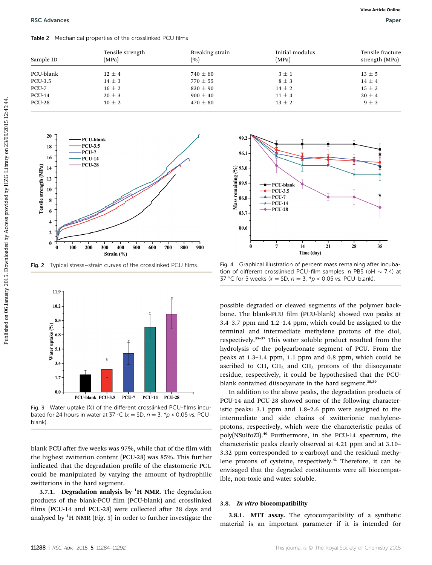#### Table 2 Mechanical properties of the crosslinked PCU films

| Sample ID     | Tensile strength<br>(MPa) | Breaking strain<br>(%) | Initial modulus<br>(MPa) | Tensile fracture<br>strength (MPa) |
|---------------|---------------------------|------------------------|--------------------------|------------------------------------|
|               |                           |                        |                          |                                    |
| PCU-blank     | $12 \pm 4$                | $740 \pm 60$           | $3 \pm 1$                | $13 \pm 5$                         |
| PCU-3.5       | $14 \pm 3$                | $770 \pm 55$           | $8\pm3$                  | $14 \pm 4$                         |
| PCU-7         | $16 \pm 2$                | $830 \pm 90$           | $14 \pm 2$               | $15 \pm 3$                         |
| <b>PCU-14</b> | $20 \pm 3$                | $900 \pm 40$           | $11 \pm 4$               | $20 \pm 4$                         |
| <b>PCU-28</b> | $10 \pm 2$                | $470 \pm 80$           | $13 \pm 2$               | $9 \pm 3$                          |



Fig. 2 Typical stress–strain curves of the crosslinked PCU films.



Fig. 3 Water uptake (%) of the different crosslinked PCU-films incubated for 24 hours in water at 37 °C ( $\bar{x} = SD$ ,  $n = 3$ , \*p < 0.05 vs. PCUblank).

blank PCU after five weeks was 97%, while that of the film with the highest zwitterion content (PCU-28) was 85%. This further indicated that the degradation profile of the elastomeric PCU could be manipulated by varying the amount of hydrophilic zwitterions in the hard segment.

3.7.1. Degradation analysis by  ${}^{1}H$  NMR. The degradation products of the blank-PCU film (PCU-blank) and crosslinked films (PCU-14 and PCU-28) were collected after 28 days and analysed by  ${}^{1}\mathrm{H}$  NMR (Fig. 5) in order to further investigate the



Fig. 4 Graphical illustration of percent mass remaining after incubation of different crosslinked PCU-film samples in PBS (pH  $\sim$  7.4) at 37 °C for 5 weeks ( $\bar{x} = SD$ ,  $n = 3$ ,  $p < 0.05$  vs. PCU-blank).

possible degraded or cleaved segments of the polymer backbone. The blank-PCU film (PCU-blank) showed two peaks at 3.4–3.7 ppm and 1.2–1.4 ppm, which could be assigned to the terminal and intermediate methylene protons of the diol, respectively.<sup>35</sup>–<sup>37</sup> This water soluble product resulted from the hydrolysis of the polycarbonate segment of PCU. From the peaks at 1.3–1.4 ppm, 1.1 ppm and 0.8 ppm, which could be ascribed to CH,  $CH<sub>2</sub>$  and CH<sub>3</sub> protons of the diisocyanate residue, respectively, it could be hypothesised that the PCUblank contained diisocyanate in the hard segment.<sup>38,39</sup>

In addition to the above peaks, the degradation products of PCU-14 and PCU-28 showed some of the following characteristic peaks: 3.1 ppm and 1.8–2.6 ppm were assigned to the intermediate and side chains of zwitterionic methyleneprotons, respectively, which were the characteristic peaks of poly(NSulfoZI).<sup>40</sup> Furthermore, in the PCU-14 spectrum, the characteristic peaks clearly observed at 4.21 ppm and at 3.10– 3.32 ppm corresponded to  $\alpha$ -carboxyl and the residual methylene protons of cysteine, respectively.<sup>41</sup> Therefore, it can be envisaged that the degraded constituents were all biocompatible, non-toxic and water soluble.

#### 3.8. In vitro biocompatibility

3.8.1. MTT assay. The cytocompatibility of a synthetic material is an important parameter if it is intended for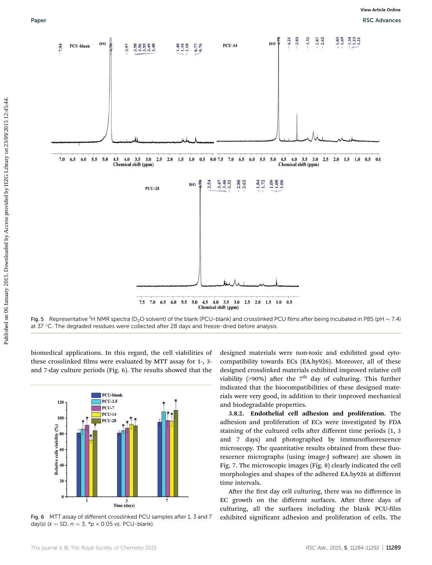

Fig. 5 Representative <sup>1</sup>H NMR spectra (D<sub>2</sub>O solvent) of the blank (PCU-blank) and crosslinked PCU films after being incubated in PBS (pH  $\sim$  7.4) at 37 °C. The degraded residues were collected after 28 days and freeze-dried before analysis.

biomedical applications. In this regard, the cell viabilities of these crosslinked films were evaluated by MTT assay for 1-, 3and 7-day culture periods (Fig. 6). The results showed that the



Fig. 6 MTT assay of different crosslinked PCU samples after 1, 3 and 7 day(s) ( $\bar{x}$  = SD,  $n = 3$ ,  $*p < 0.05$  vs. PCU-blank).

designed materials were non-toxic and exhibited good cytocompatibility towards ECs (EA.hy926). Moreover, all of these designed crosslinked materials exhibited improved relative cell viability (>90%) after the  $7<sup>th</sup>$  day of culturing. This further indicated that the biocompatibilities of these designed materials were very good, in addition to their improved mechanical and biodegradable properties.

3.8.2. Endothelial cell adhesion and proliferation. The adhesion and proliferation of ECs were investigated by FDA staining of the cultured cells after different time periods (1, 3) and 7 days) and photographed by immunofluorescence microscopy. The quantitative results obtained from these fluorescence micrographs (using image-J software) are shown in Fig. 7. The microscopic images (Fig. 8) clearly indicated the cell morphologies and shapes of the adhered EA.hy926 at different time intervals.

After the first day cell culturing, there was no difference in EC growth on the different surfaces. After three days of culturing, all the surfaces including the blank PCU-film exhibited significant adhesion and proliferation of cells. The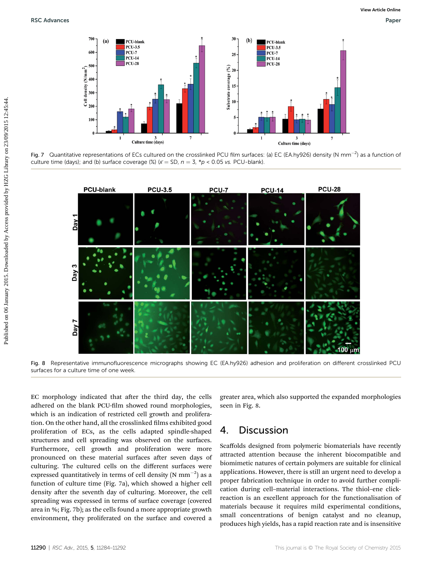

Fig. 7 Quantitative representations of ECs cultured on the crosslinked PCU film surfaces: (a) EC (EA.hy926) density (N mm<sup>-2</sup>) as a function of culture time (days); and (b) surface coverage (%) ( $\bar{x}$  = SD,  $n = 3$ , \*p < 0.05 vs. PCU-blank).



Fig. 8 Representative immunofluorescence micrographs showing EC (EA.hy926) adhesion and proliferation on different crosslinked PCU surfaces for a culture time of one week.

EC morphology indicated that after the third day, the cells adhered on the blank PCU-film showed round morphologies, which is an indication of restricted cell growth and proliferation. On the other hand, all the crosslinked films exhibited good proliferation of ECs, as the cells adapted spindle-shaped structures and cell spreading was observed on the surfaces. Furthermore, cell growth and proliferation were more pronounced on these material surfaces after seven days of culturing. The cultured cells on the different surfaces were expressed quantitatively in terms of cell density (N  $\mathrm{mm}^{-2})$  as a function of culture time (Fig. 7a), which showed a higher cell density after the seventh day of culturing. Moreover, the cell spreading was expressed in terms of surface coverage (covered area in %; Fig. 7b); as the cells found a more appropriate growth environment, they proliferated on the surface and covered a

greater area, which also supported the expanded morphologies seen in Fig. 8.

### 4. Discussion

Scaffolds designed from polymeric biomaterials have recently attracted attention because the inherent biocompatible and biomimetic natures of certain polymers are suitable for clinical applications. However, there is still an urgent need to develop a proper fabrication technique in order to avoid further complication during cell–material interactions. The thiol–ene clickreaction is an excellent approach for the functionalisation of materials because it requires mild experimental conditions, small concentrations of benign catalyst and no cleanup, produces high yields, has a rapid reaction rate and is insensitive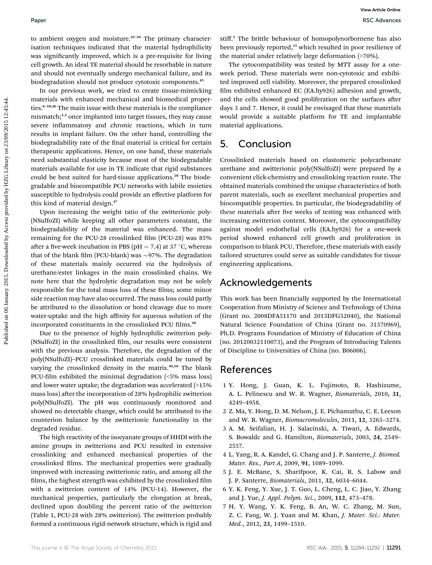to ambient oxygen and moisture.<sup>42</sup>–<sup>44</sup> The primary characterisation techniques indicated that the material hydrophilicity was significantly improved, which is a pre-requisite for living cell growth. An ideal TE material should be resorbable in nature and should not eventually undergo mechanical failure, and its biodegradation should not produce cytotoxic components.<sup>45</sup>

In our previous work, we tried to create tissue-mimicking materials with enhanced mechanical and biomedical properties.<sup>6-10,46</sup> The main issue with these materials is the compliance mismatch;<sup>1,2</sup> once implanted into target tissues, they may cause severe inflammatory and chronic reactions, which in turn results in implant failure. On the other hand, controlling the biodegradability rate of the final material is critical for certain therapeutic applications. Hence, on one hand, these materials need substantial elasticity because most of the biodegradable materials available for use in TE indicate that rigid substances could be best suited for hard-tissue applications.<sup>20</sup> The biodegradable and biocompatible PCU networks with labile moieties susceptible to hydrolysis could provide an effective platform for this kind of material design.<sup>47</sup> **Puer Source** to the control on the primary change on  $\theta$  With the busines on the control on the set of the control of the set of the control of the set of the set of the set of the set of the set of the set of the set o

Upon increasing the weight ratio of the zwitterionic poly- (NSulfoZI) while keeping all other parameters constant, the biodegradability of the material was enhanced. The mass remaining for the PCU-28 crosslinked film (PCU-28) was 85% after a five-week incubation in PBS (pH = 7.4) at 37 °C, whereas that of the blank film (PCU-blank) was  $\sim$ 97%. The degradation of these materials mainly occurred via the hydrolysis of urethane/ester linkages in the main crosslinked chains. We note here that the hydrolytic degradation may not be solely responsible for the total mass loss of these films; some minor side reaction may have also occurred. The mass loss could partly be attributed to the dissolution or bond cleavage due to more water-uptake and the high affinity for aqueous solution of the incorporated constituents in the crosslinked PCU films.<sup>48</sup>

Due to the presence of highly hydrophilic zwitterion poly- (NSulfoZI) in the crosslinked film, our results were consistent with the previous analysis. Therefore, the degradation of the poly(NSulfoZI)–PCU crosslinked materials could be tuned by varying the crosslinked density in the matrix.<sup>49,50</sup> The blank PCU-film exhibited the minimal degradation  $(5\%$  mass loss) and lower water uptake; the degradation was accelerated (>15% mass loss) after the incorporation of 28% hydrophilic zwitterion poly(NSulfoZI). The pH was continuously monitored and showed no detectable change, which could be attributed to the counterion balance by the zwitterionic functionality in the degraded residue.

The high reactivity of the isocyanate groups of HHDI with the amine groups in zwitterions and PCU resulted in extensive crosslinking and enhanced mechanical properties of the crosslinked films. The mechanical properties were gradually improved with increasing zwitterionic ratio, and among all the films, the highest strength was exhibited by the crosslinked film with a zwitterion content of 14% (PCU-14). However, the mechanical properties, particularly the elongation at break, declined upon doubling the percent ratio of the zwitterion (Table 1, PCU-28 with 28% zwitterion). The zwitterion probably formed a continuous rigid-network structure, which is rigid and

stiff. <sup>2</sup> The brittle behaviour of homopolynorbornene has also been previously reported,<sup>51</sup> which resulted in poor resilience of the material under relatively large deformation (>70%).

The cytocompatibility was tested by MTT assay for a oneweek period. These materials were non-cytotoxic and exhibited improved cell viability. Moreover, the prepared crosslinked film exhibited enhanced EC (EA.hy926) adhesion and growth, and the cells showed good proliferation on the surfaces after days 3 and 7. Hence, it could be envisaged that these materials would provide a suitable platform for TE and implantable material applications.

### 5. Conclusion

Crosslinked materials based on elastomeric polycarbonate urethane and zwitterionic poly(NSulfoZI) were prepared by a convenient click-chemistry and crosslinking reaction route. The obtained materials combined the unique characteristics of both parent materials, such as excellent mechanical properties and biocompatible properties. In particular, the biodegradability of these materials after five weeks of testing was enhanced with increasing zwitterion content. Moreover, the cytocompatibility against model endothelial cells (EA.hy926) for a one-week period showed enhanced cell growth and proliferation in comparison to blank PCU. Therefore, these materials with easily tailored structures could serve as suitable candidates for tissue engineering applications.

### Acknowledgements

This work has been financially supported by the International Cooperation from Ministry of Science and Technology of China (Grant no. 2008DFA51170 and 2013DFG52040), the National Natural Science Foundation of China (Grant no. 31370969), Ph.D. Programs Foundation of Ministry of Education of China (no. 20120032110073), and the Program of Introducing Talents of Discipline to Universities of China (no. B06006).

### References

- 1 Y. Hong, J. Guan, K. L. Fujimoto, R. Hashizume, A. L. Pelinescu and W. R. Wagner, Biomaterials, 2010, 31, 4249–4958.
- 2 Z. Ma, Y. Hong, D. M. Nelson, J. E. Pichamuthu, C. E. Leeson and W. R. Wagner, Biomacromolecules, 2011, 12, 3265–3274.
- 3 A. M. Seifalian, H. J. Salacinski, A. Tiwari, A. Edwards, S. Bowaldc and G. Hamilton, Biomaterials, 2003, 24, 2549– 2557.
- 4 L. Yang, R. A. Kandel, G. Chang and J. P. Santerre, J. Biomed. Mater. Res., Part A, 2009, 91, 1089–1099.
- 5 J. E. McBane, S. Sharifpoor, K. Cai, R. S. Labow and J. P. Santerre, Biomaterials, 2011, 32, 6034–6044.
- 6 Y. K. Feng, Y. Xue, J. T. Guo, L. Cheng, L. C. Jiao, Y. Zhang and J. Yue, J. Appl. Polym. Sci., 2009, 112, 473–478.
- 7 H. Y. Wang, Y. K. Feng, B. An, W. C. Zhang, M. Sun, Z. C. Fang, W. J. Yuan and M. Khan, J. Mater. Sci.: Mater. Med., 2012, 23, 1499–1510.